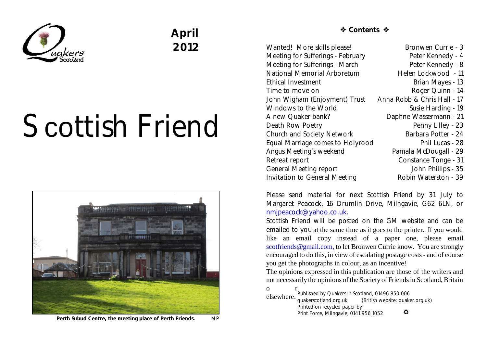

## **April 2012**

# Scottish Friend



 **Contents** 

Wanted! More skills please! Bronwen Currie - 3 Meeting for Sufferings - February Peter Kennedy - 4 Meeting for Sufferings - March Peter Kennedy - 8 National Memorial Arboretum Helen Lockwood - 11 Ethical Investment **Brian Mayes** - 13 Time to move on Roger Quinn - 14 John Wigham (Enjoyment) Trust Anna Robb & Chris Hall - 17 Windows to the World Susie Harding - 19 A new Quaker bank? Daphne Wassermann - 21 Death Row Poetry **Penny Lilley** - 23 Church and Society Network Barbara Potter - 24 Equal Marriage comes to Holyrood Phil Lucas - 28 Angus Meeting's weekend Pamala McDougall - 29 Retreat report Constance Tonge - 31 General Meeting report John Phillips - 35 Invitation to General Meeting Robin Waterston - 39

Please send material for next *Scottish Friend* by 31 July to Margaret Peacock, 16 Drumlin Drive, Milngavie, G62 6LN, or [nmjpeacock@yahoo.co.uk.](mailto:nmjpeacock@yahoo.co.uk.)

*Scottish Friend* will be posted on the GM website and can be emailed to you at the same time as it goes to the printer. If you would like an email copy instead of a paper one, please email [scotfriends@gmail.com,](mailto:scotfriends@aol.com,) to let Bronwen Currie know. You are strongly encouraged to do this, in view of escalating postage costs - and of course you get the photographs in colour, as an incentive!

The opinions expressed in this publication are those of the writers and not necessarily the opinions of the Society of Friends in Scotland, Britain

o r Published by Quakers in Scotland, 01496 850 006 elsewhere. (British website: quaker.org.uk) Printed on recycled paper by  $\bullet$ Print Force, Milngavie, 0141 956 1052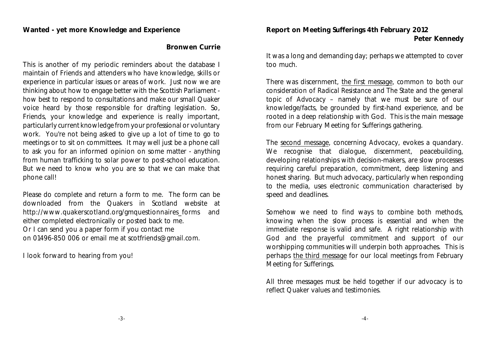#### **Bronwen Currie**

This is another of my periodic reminders about the database I maintain of Friends and attenders who have knowledge, skills or experience in particular issues or areas of work. Just now we are thinking about how to engage better with the Scottish Parliament how best to respond to consultations and make our small Quaker voice heard by those responsible for drafting legislation. So, Friends, your knowledge and experience is really important, particularly current knowledge from your professional or voluntary work. You're not being asked to give up a lot of time to go to meetings or to sit on committees. It may well just be a phone call to ask you for an informed opinion on some matter - anything from human trafficking to solar power to post-school education. But we need to know who you are so that we can make that phone call!

Please do complete and return a form to me. The form can be downloaded from the Quakers in Scotland website at http://www.quakerscotland.org/gmquestionnaires\_forms and either completed electronically or posted back to me. Or I can send you a paper form if you contact me on 01496-850 006 or email me at scotfriends@gmail.com.

I look forward to hearing from you!

**Report on Meeting Sufferings 4th February 2012 Peter Kennedy**

It was a long and demanding day; perhaps we attempted to cover too much.

There was discernment, the first message, common to both our consideration of *Radical Resistance and The State* and the general topic of *Advocacy* – namely that we must be sure of our knowledge/facts, be grounded by first-hand experience, and be rooted in a deep relationship with God. This is the main message from our February Meeting for Sufferings gathering.

The second message, concerning *Advocacy*, evokes a quandary. We recognise that dialogue, discernment, peacebuilding, developing relationships with decision-makers, are slow processes requiring careful preparation, commitment, deep listening and honest sharing. But much advocacy, particularly when responding to the media, uses electronic communication characterised by speed and deadlines.

Somehow we need to find ways to combine both methods, knowing when the slow process is essential and when the immediate response is valid and safe. A right relationship with God and the prayerful commitment and support of our worshipping communities will underpin both approaches. This is perhaps the third message for our local meetings from February Meeting for Sufferings.

All three messages must be held together if our advocacy is to reflect Quaker values and testimonies.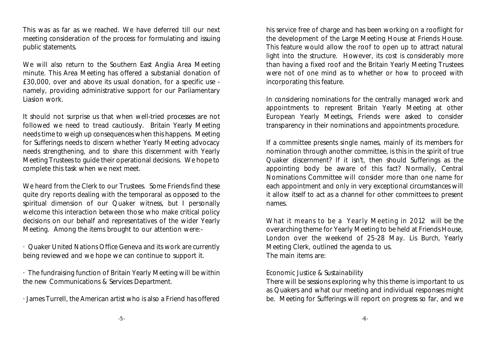This was as far as we reached. We have deferred till our next meeting consideration of the process for formulating and issuing public statements.

We will also return to the Southern East Anglia Area Meeting minute. This Area Meeting has offered a substanial donation of £30,000, over and above its usual donation, for a specific use namely, providing administrative support for our Parliamentary Liasion work.

It should not surprise us that when well-tried processes are not followed we need to tread cautiously. Britain Yearly Meeting needs time to weigh up consequences when this happens. Meeting for Sufferings needs to discern whether Yearly Meeting advocacy needs strengthening, and to share this discernment with Yearly Meeting Trustees to guide their operational decisions. We hope to complete this task when we next meet.

We heard from the Clerk to our Trustees. Some Friends find these quite dry reports dealing with the temporaral as opposed to the spiritual dimension of our Quaker witness, but I personally welcome this interaction between those who make critical policy decisions on our behalf and representatives of the wider Yearly Meeting. Among the items brought to our attention were:-

· Quaker United Nations Office Geneva and its work are currently being reviewed and we hope we can continue to support it.

· The fundraising function of Britain Yearly Meeting will be within the new Communications & Services Department.

· James Turrell, the American artist who is also a Friend has offered

his service free of charge and has been working on a rooflight for the development of the Large Meeting House at Friends House. This feature would allow the roof to open up to attract natural light into the structure. However, its cost is considerably more than having a fixed roof and the Britain Yearly Meeting Trustees were not of one mind as to whether or how to proceed with incorporating this feature.

In considering nominations for the centrally managed work and appointments to represent Britain Yearly Meeting at other European Yearly Meetings, Friends were asked to consider transparency in their nominations and appointments procedure.

If a committee presents single names, mainly of its members for nomination through another committee, is this in the spirit of true Quaker discernment? If it isn't, then should Sufferings as the appointing body be aware of this fact? Normally, Central Nominations Committee will consider more than one name for each appointment and only in very exceptional circumstances will it allow itself to act as a channel for other committees to present names.

*What it means to be a Yearly Meeting in 2012* will be the overarching theme for Yearly Meeting to be held at Friends House, London over the weekend of 25-28 May. Lis Burch, Yearly Meeting Clerk, outlined the agenda to us. The main items are:

#### *Economic Justice & Sustainability*

There will be sessions exploring why this theme is important to us as Quakers and what our meeting and individual responses might be. Meeting for Sufferings will report on progress so far, and we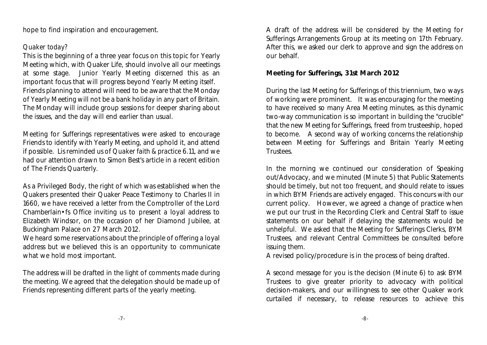hope to find inspiration and encouragement.

#### *Quaker today?*

This is the beginning of a three year focus on this topic for Yearly Meeting which, with Quaker Life, should involve all our meetings at some stage. Junior Yearly Meeting discerned this as an important focus that will progress beyond Yearly Meeting itself. Friends planning to attend will need to be aware that the Monday of Yearly Meeting will not be a bank holiday in any part of Britain. The Monday will include group sessions for deeper sharing about the issues, and the day will end earlier than usual.

Meeting for Sufferings representatives were asked to encourage Friends to identify with Yearly Meeting, and uphold it, and attend if possible. Lis reminded us of *Quaker faith & practice* 6.11, and we had our attention drawn to Simon Best's article in a recent edition of *The Friends Quarterly*.

As a Privileged Body, the right of which was established when the Quakers presented their Quaker Peace Testimony to Charles II in 1660, we have received a letter from the Comptroller of the Lord Chamberlain•fs Office inviting us to present a loyal address to Elizabeth Windsor, on the occasion of her Diamond Jubilee, at Buckingham Palace on 27 March 2012.

We heard some reservations about the principle of offering a loyal address but we believed this is an opportunity to communicate what we hold most important.

The address will be drafted in the light of comments made during the meeting. We agreed that the delegation should be made up of Friends representing different parts of the yearly meeting.

A draft of the address will be considered by the Meeting for Sufferings Arrangements Group at its meeting on 17th February. After this, we asked our clerk to approve and sign the address on our behalf.

**Meeting for Sufferings, 31st March 2012**

During the last Meeting for Sufferings of this triennium, two ways of working were prominent. It was encouraging for the meeting to have received so many Area Meeting minutes, as this dynamic two-way communication is so important in building the "crucible" that the new Meeting for Sufferings, freed from trusteeship, hoped to become. A second way of working concerns the relationship between Meeting for Sufferings and Britain Yearly Meeting Trustees.

In the morning we continued our consideration of Speaking out/Advocacy, and we minuted (Minute 5) that Public Statements should be timely, but not too frequent, and should relate to issues in which BYM Friends are actively engaged. This concurs with our current policy. However, we agreed a change of practice when we put our trust in the Recording Clerk and Central Staff to issue statements on our behalf if delaying the statements would be unhelpful. We asked that the Meeting for Sufferings Clerks, BYM Trustees, and relevant Central Committees be consulted before issuing them.

A revised policy/procedure is in the process of being drafted.

A second message for you is the decision (Minute 6) to ask BYM Trustees to give greater priority to advocacy with political decision-makers, and our willingness to see other Quaker work curtailed if necessary, to release resources to achieve this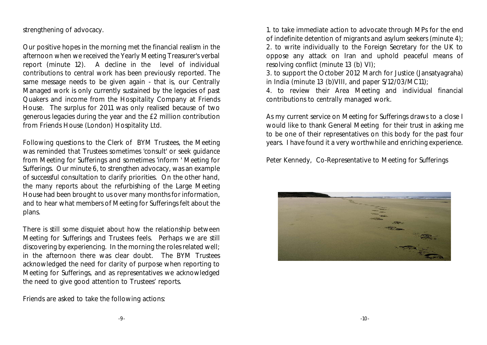strengthening of advocacy.

Our positive hopes in the morning met the financial realism in the afternoon when we received the Yearly Meeting Treasurer's verbal report (minute 12). A decline in the level of individual contributions to central work has been previously reported. The same message needs to be given again - that is, our Centrally Managed work is only currently sustained by the legacies of past Quakers and income from the Hospitality Company at Friends House. The surplus for 2011 was only realised because of two generous legacies during the year and the £2 million contribution from Friends House (London) Hospitality Ltd.

Following questions to the Clerk of BYM Trustees, the Meeting was reminded that Trustees sometimes 'consult' or seek guidance from Meeting for Sufferings and sometimes 'inform ' Meeting for Sufferings. Our minute 6, to strengthen advocacy, was an example of successful consultation to clarify priorities. On the other hand, the many reports about the refurbishing of the Large Meeting House had been brought to us over many months for information, and to hear what members of Meeting for Sufferings felt about the plans.

There is still some disquiet about how the relationship between Meeting for Sufferings and Trustees feels. Perhaps we are still discovering by experiencing. In the morning the roles related well; in the afternoon there was clear doubt. The BYM Trustees acknowledged the need for clarity of purpose when reporting to Meeting for Sufferings, and as representatives we acknowledged the need to give good attention to Trustees' reports.

Friends are asked to take the following actions:

1. to take immediate action to advocate through MPs for the end of indefinite detention of migrants and asylum seekers (minute 4); 2. to write individually to the Foreign Secretary for the UK to oppose any attack on Iran and uphold peaceful means of resolving conflict (minute 13 (b) VI);

3. to support the October 2012 March for Justice (Jansatyagraha) in India (minute 13 (b)VIII, and paper S/12/03/MC11);

4. to review their Area Meeting and individual financial contributions to centrally managed work.

As my current service on Meeting for Sufferings draws to a close I would like to thank General Meeting for their trust in asking me to be one of their representatives on this body for the past four years. I have found it a very worthwhile and enriching experience.

Peter Kennedy, Co-Representative to Meeting for Sufferings

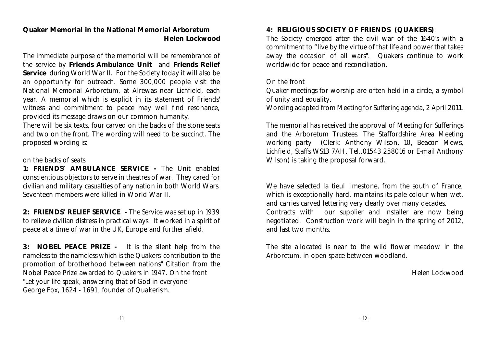**Quaker Memorial in the National Memorial Arboretum Helen Lockwood**

The immediate purpose of the memorial will be remembrance of the service by **Friends Ambulance Unit** and **Friends Relief Service** during World War II. For the Society today it will also be an opportunity for outreach. Some 300,000 people visit the National Memorial Arboretum, at Alrewas near Lichfield, each year. A memorial which is explicit in its statement of Friends' witness and commitment to peace may well find resonance, provided its message draws on our common humanity.

There will be six texts, four carved on the backs of the stone seats and two on the front. The wording will need to be succinct. The proposed wording is:

#### on the backs of seats

**1: FRIENDS' AMBULANCE SERVICE -** The Unit enabled conscientious objectors to serve in theatres of war. They cared for civilian and military casualties of any nation in both World Wars. Seventeen members were killed in World War II.

**2: FRIENDS' RELIEF SERVICE -** The Service was set up in 1939 to relieve civilian distress in practical ways. It worked in a spirit of peace at a time of war in the UK, Europe and further afield.

**3: NOBEL PEACE PRIZE -** "It is the silent help from the nameless to the nameless which is the Quakers' contribution to the promotion of brotherhood between nations" Citation from the Nobel Peace Prize awarded to Quakers in 1947. *On the front "Let your life speak, answering that of God in everyone" George Fox, 1624 - 1691, founder of Quakerism.*

#### **4: RELIGIOUS SOCIETY OF FRIENDS (QUAKERS)**:

The Society emerged after the civil war of the 1640's with a commitment to "live by the virtue of that life and power that takes away the occasion of all wars". Quakers continue to work worldwide for peace and reconciliation.

#### On the front

Quaker meetings for worship are often held in a circle, a symbol of unity and equality.

Wording adapted from Meeting for Suffering agenda, 2 April 2011.

The memorial has received the approval of Meeting for Sufferings and the Arboretum Trustees. The Staffordshire Area Meeting working party (Clerk: Anthony Wilson, 10, Beacon Mews, Lichfield, Staffs WS13 7AH. Tel..01543 258016 or E-mail Anthony Wilson) is taking the proposal forward.

We have selected la tieul limestone, from the south of France. which is exceptionally hard, maintains its pale colour when wet, and carries carved lettering very clearly over many decades. Contracts with our supplier and installer are now being negotiated. Construction work will begin in the spring of 2012, and last two months.

The site allocated is near to the wild flower meadow in the Arboretum, in open space between woodland.

Helen Lockwood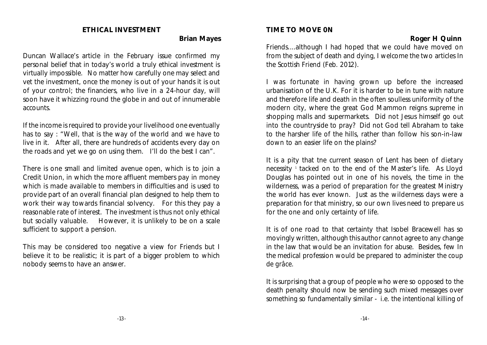#### **ETHICAL INVESTMENT**

**Brian Mayes**

Duncan Wallace's article in the February issue confirmed my personal belief that in today's world a truly ethical investment is virtually impossible. No matter how carefully one may select and vet the investment, once the money is out of your hands it is out of your control; the financiers, who live in a 24-hour day, will soon have it whizzing round the globe in and out of innumerable accounts.

If the income is required to provide your livelihood one eventually has to say : "Well, that is the way of the world and we have to live in it. After all, there are hundreds of accidents every day on the roads and yet we go on using them. I'll do the best I can".

There is one small and limited avenue open, which is to join a Credit Union, in which the more affluent members pay in money which is made available to members in difficulties and is used to provide part of an overall financial plan designed to help them to work their way towards financial solvency. For this they pay a reasonable rate of interest. The investment is thus not only ethical but socially valuable. However, it is unlikely to be on a scale sufficient to support a pension.

This may be considered too negative a view for Friends but I believe it to be realistic; it is part of a bigger problem to which nobody seems to have an answer.

#### **TIME TO MOVE 0N**

#### **Roger H Quinn**

Friends....although I had hoped that we could have moved on from the subject of death and dying, I welcome the two articles In the *Scottish Friend* (Feb. 2012).

I was fortunate in having grown up before the increased urbanisation of the U.K. For it is harder to be in tune with nature and therefore life and death in the often soulless uniformity of the modern city, where the great God Mammon reigns supreme in shopping malls and supermarkets. Did not Jesus himself go out into the countryside to pray? Did not God tell Abraham to take to the harsher life of the hills, rather than follow his son-in-law down to an easier life on the plains?

It is a pity that tne current season of Lent has been of dietary necessity  $\frac{1}{1}$  tacked on to the end of the Master's life. As Lloyd Douglas has pointed out in one of his novels, the time in the wilderness, was a period of preparation for the greatest Ministry the world has ever known. Just as the wilderness days were a preparation for that ministry, so our own lives need to prepare us for the one and only certainty of life.

It is of one road to that certainty that Isobel Bracewell has so movingly written, although this author cannot agree to any change in the law that would be an invitation for abuse. Besides, few In the medical profession would be prepared to administer the *coup de grâce*.

It is surprising that a group of people who were so opposed to the death penalty should now be sending such mixed messages over something so fundamentally similar - i.e. the intentional killing of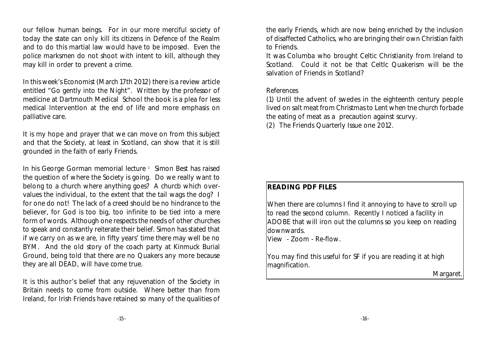our fellow human beings. For in our more merciful society of today the state can only kill its citizens in Defence of the Realm and to do this martial law would have to be imposed. Even the police marksmen do not shoot with intent to kill, although they may kill in order to prevent a crime.

In this week's Economist (March 17th 2012) there is a review article entitled "Go gently into the Night". Written by the professor of medicine at Dartmouth Medical School the book is a plea for less medical lnterventIon at the end of life and more emphasis on palliative care.

It is my hope and prayer that we can move on from this subject and that the Society, at least in Scotland, can show that it is still grounded in the faith of early Friends.

In his George Gorman memorial lecture <sup>2</sup> Simon Best has raised the question of where the Society is going. Do we really want to belong to a church where anything goes? A churcb which overvalues the individual, to the extent that the tail wags the dog? I for one do not! The lack of a creed should be no hindrance to the believer, for God is too big, too infinite to be tied into a mere form of words. Although one respects the needs of other churches to speak and constantly reiterate their belief. Simon has stated that if we carry on as we are, in fifty years' time there may well be no BYM. And the old story of the coach party at Kinmuck Burial Ground, being told that there are no Quakers any more because they are all DEAD, will have come true.

It is this author's belief that any rejuvenation of the Society in Britain needs to come from outside. Where better than from Ireland, for Irish Friends have retained so many of the qualities of the early Friends, which are now being enriched by the inclusion of disaffected Catholics, who are bringing thelr own Christian faith to Friends.

It was Columba who brought Celtic Christianity from Ireland to Scotland. Could it not be that Celtlc Quakerism will be the salvation of Friends in Scotland?

#### References

(1) Until the advent of swedes in the eighteenth century people lived on salt meat from Christmas to Lent when tne church forbade the eating of meat as a precaution against scurvy.

(2) The Friends Quarterly Issue one 2012.

#### **READING PDF FILES**

When there are columns I find it annoying to have to scroll up to read the second column. Recently I noticed a facility in ADOBE that will iron out the columns so you keep on reading downwards.

View - Zoom - Re-flow.

You may find this useful for SF if you are reading it at high magnification.

Margaret.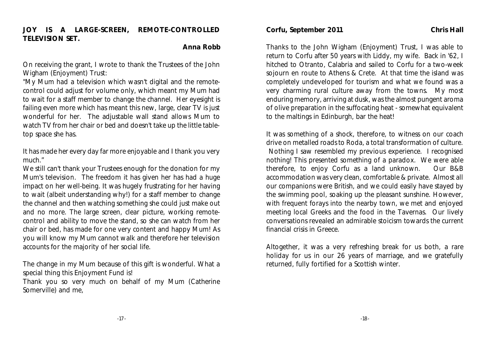**JOY IS A LARGE-SCREEN, REMOTE-CONTROLLED TELEVISION SET.**

**Anna Robb**

On receiving the grant, I wrote to thank the Trustees of the John Wigham (Enjoyment) Trust:

"My Mum had a television which wasn't digital and the remotecontrol could adjust for volume only, which meant my Mum had to wait for a staff member to change the channel. Her eyesight is failing even more which has meant this new, large, clear TV is just wonderful for her. The adjustable wall stand allows Mum to watch TV from her chair or bed and doesn't take up the little tabletop space she has.

It has made her every day far more enjoyable and I thank you very much."

We still can't thank your Trustees enough for the donation for my Mum's television. The freedom it has given her has had a huge impact on her well-being. It was hugely frustrating for her having to wait (albeit understanding why!) for a staff member to change the channel and then watching something she could just make out and no more. The large screen, clear picture, working remotecontrol and ability to move the stand, so she can watch from her chair or bed, has made for one very content and happy Mum! As you will know my Mum cannot walk and therefore her television accounts for the majority of her social life.

The change in my Mum because of this gift is wonderful. What a special thing this Enjoyment Fund is!

Thank you so very much on behalf of my Mum (Catherine Somerville) and me,

Thanks to the John Wigham (Enjoyment) Trust, I was able to return to Corfu after 50 years with Liddy, my wife. Back in '62, I hitched to Otranto, Calabria and sailed to Corfu for a two-week sojourn en route to Athens & Crete. At that time the island was completely undeveloped for tourism and what we found was a very charming rural culture away from the towns. My most enduring memory, arriving at dusk, was the almost pungent aroma of olive preparation in the suffocating heat - somewhat equivalent to the maltings in Edinburgh, bar the heat!

It was something of a shock, therefore, to witness on our coach drive on metalled roads to Roda, a total transformation of culture. Nothing I saw resembled my previous experience. I recognised nothing! This presented something of a paradox. We were able therefore, to enjoy Corfu as a land unknown. Our B&B accommodation was very clean, comfortable & private. Almost all our companions were British, and we could easily have stayed by the swimming pool, soaking up the pleasant sunshine. However, with frequent forays into the nearby town, we met and enjoyed meeting local Greeks and the food in the Tavernas. Our lively conversations revealed an admirable stoicism towards the current financial crisis in Greece.

Altogether, it was a very refreshing break for us both, a rare holiday for us in our 26 years of marriage, and we gratefully returned, fully fortified for a Scottish winter.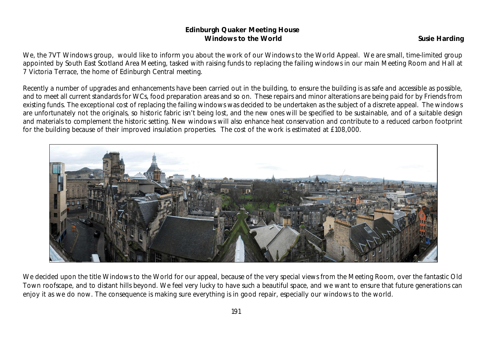#### **Edinburgh Quaker Meeting House Windows to the World Susie Harding**

We, the 7VT Windows group, would like to inform you about the work of our Windows to the World Appeal. We are small, time-limited group appointed by South East Scotland Area Meeting, tasked with raising funds to replacing the failing windows in our main Meeting Room and Hall at 7 Victoria Terrace, the home of Edinburgh Central meeting.

Recently a number of upgrades and enhancements have been carried out in the building, to ensure the building is as safe and accessible as possible, and to meet all current standards for WCs, food preparation areas and so on. These repairs and minor alterations are being paid for by Friends from existing funds. The exceptional cost of replacing the failing windows was decided to be undertaken as the subject of a discrete appeal. The windows are unfortunately not the originals, so historic fabric isn't being lost, and the new ones will be specified to be sustainable, and of a suitable design and materials to complement the historic setting. New windows will also enhance heat conservation and contribute to a reduced carbon footprint for the building because of their improved insulation properties. The cost of the work is estimated at £108,000.



We decided upon the title Windows to the World for our appeal, because of the very special views from the Meeting Room, over the fantastic Old Town roofscape, and to distant hills beyond. We feel very lucky to have such a beautiful space, and we want to ensure that future generations can enjoy it as we do now. The consequence is making sure everything is in good repair, especially our windows to the world.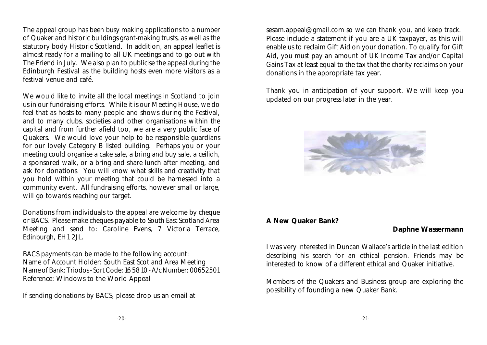The appeal group has been busy making applications to a number of Quaker and historic buildings grant-making trusts, as well as the statutory body Historic Scotland. In addition, an appeal leaflet is almost ready for a mailing to all UK meetings and to go out with The Friend in July. We also plan to publicise the appeal during the Edinburgh Festival as the building hosts even more visitors as a festival venue and café.

We would like to invite all the local meetings in Scotland to join us in our fundraising efforts. While it is our Meeting House, we do feel that as hosts to many people and shows during the Festival, and to many clubs, societies and other organisations within the capital and from further afield too, we are a very public face of Quakers. We would love your help to be responsible guardians for our lovely Category B listed building. Perhaps you or your meeting could organise a cake sale, a bring and buy sale, a ceilidh, a sponsored walk, or a bring and share lunch after meeting, and ask for donations. You will know what skills and creativity that you hold within your meeting that could be harnessed into a community event. All fundraising efforts, however small or large, will go towards reaching our target.

Donations from individuals to the appeal are welcome by cheque or BACS. Please make cheques payable to *South East Scotland Area Meeting* and send to: Caroline Evens, 7 Victoria Terrace, Edinburgh, EH1 2JL.

BACS payments can be made to the following account: Name of Account Holder: South East Scotland Area Meeting Name of Bank: Triodos - Sort Code: 16 58 10 - A/c Number: 00652501 Reference: Windows to the World Appeal

If sending donations by BACS, please drop us an email at

[sesam.appeal@gmail.com](mailto:sesam.appeal@gmail.com) so we can thank you, and keep track. Please include a statement if you are a UK taxpayer, as this will enable us to reclaim Gift Aid on your donation. To qualify for Gift Aid, you must pay an amount of UK Income Tax and/or Capital Gains Tax at least equal to the tax that the charity reclaims on your donations in the appropriate tax year.

Thank you in anticipation of your support. We will keep you updated on our progress later in the year.



**A New Quaker Bank?**

#### **Daphne Wassermann**

I was very interested in Duncan Wallace's article in the last edition describing his search for an ethical pension. Friends may be interested to know of a different ethical and Quaker initiative.

Members of the Quakers and Business group are exploring the possibility of founding a new Quaker Bank.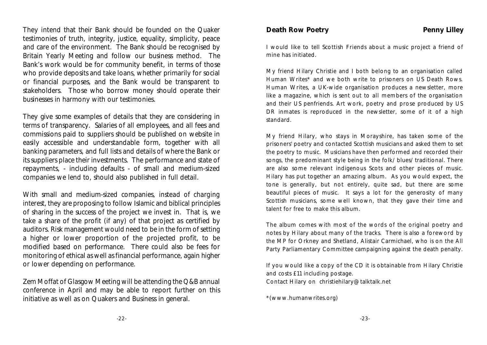They intend that their Bank should be founded on the Quaker testimonies of truth, integrity, justice, equality, simplicity, peace and care of the environment. The Bank should be recognised by Britain Yearly Meeting and follow our business method. The Bank's work would be for community benefit, in terms of those who provide deposits and take loans, whether primarily for social or financial purposes, and the Bank would be transparent to stakeholders. Those who borrow money should operate their businesses in harmony with our testimonies.

They give some examples of details that they are considering in terms of transparency. Salaries of all employees, and all fees and commissions paid to suppliers should be published on website in easily accessible and understandable form, together with all banking parameters, and full lists and details of where the Bank or its suppliers place their investments. The performance and state of repayments, - including defaults - of small and medium-sized companies we lend to, should also published in full detail.

With small and medium-sized companies, *instead of charging interest*, they are proposing to follow Islamic and biblical principles of sharing in the success of the project we invest in. That is, we take a share of the profit (if any) of that project as certified by auditors. Risk management would need to be in the form of setting a higher or lower proportion of the projected profit, to be modified based on performance. There could also be fees for monitoring of ethical as well as financial performance, again higher or lower depending on performance.

Zem Moffat of Glasgow Meeting will be attending the Q&B annual conference in April and may be able to report further on this initiative as well as on Quakers and Business in general.

#### **Death Row Poetry Penny Lilley**

I would like to tell Scottish Friends about a music project a friend of mine has initiated.

My friend Hilary Christie and I both belong to an organisation called Human Writes\* and we both write to prisoners on US Death Rows. Human Writes, a UK-wide organisation produces a newsletter, more like a magazine, which is sent out to all members of the organisation and their US penfriends. Art work, poetry and prose produced by US DR inmates is reproduced in the newsletter, some of it of a high standard.

My friend Hilary, who stays in Morayshire, has taken some of the prisoners' poetry and contacted Scottish musicians and asked them to set the poetry to music. Musicians have then performed and recorded their songs, the predominant style being in the folk/ blues/ traditional. There are also some relevant indigenous Scots and other pieces of music. Hilary has put together an amazing album. As you would expect, the tone is generally, but not entirely, quite sad, but there are some beautiful pieces of music. It says a lot for the generosity of many Scottish musicians, some well known, that they gave their time and talent for free to make this album.

The album comes with most of the words of the original poetry and notes by Hilary about many of the tracks. There is also a foreword by the MP for Orkney and Shetland, Alistair Carmichael, who is on the All Party Parliamentary Committee campaigning against the death penalty.

If you would like a copy of the CD it is obtainable from Hilary Christie and costs £11 including postage. Contact Hilary on christiehilary@talktalk.net

\*(www.humanwrites.org)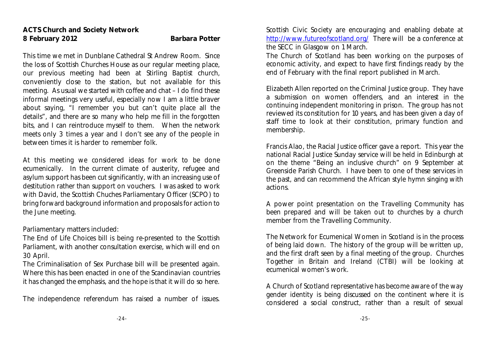This time we met in Dunblane Cathedral St Andrew Room. Since the loss of Scottish Churches House as our regular meeting place, our previous meeting had been at Stirling Baptist church, conveniently close to the station, but not available for this meeting. As usual we started with coffee and chat – I do find these informal meetings very useful, especially now I am a little braver about saying, "I remember you but can't quite place all the details", and there are so many who help me fill in the forgotten bits, and I can reintroduce myself to them. When the network meets only 3 times a year and I don't see any of the people in between times it is harder to remember folk.

At this meeting we considered ideas for work to be done ecumenically. In the current climate of austerity, refugee and asylum support has been cut significantly, with an increasing use of destitution rather than support on vouchers. I was asked to work with David, the Scottish Chuches Parliamentary Officer (SCPO) to bring forward background information and proposals for action to the June meeting.

Parliamentary matters included:

The End of Life Choices bill is being re-presented to the Scottish Parliament, with another consultation exercise, which will end on 30 April.

The Criminalisation of Sex Purchase bill will be presented again. Where this has been enacted in one of the Scandinavian countries it has changed the emphasis, and the hope is that it will do so here.

The independence referendum has raised a number of issues.

Scottish Civic Society are encouraging and enabling debate at <http://www.futureofscotland.org/> There will be a conference at the SECC in Glasgow on 1 March.

The Church of Scotland has been working on the purposes of economic activity, and expect to have first findings ready by the end of February with the final report published in March.

Elizabeth Allen reported on the Criminal Justice group. They have a submission on women offenders, and an interest in the continuing independent monitoring in prison. The group has not reviewed its constitution for 10 years, and has been given a day of staff time to look at their constitution, primary function and membership.

Francis Alao, the Racial Justice officer gave a report. This year the national Racial Justice Sunday service will be held in Edinburgh at on the theme "Being an inclusive church" on 9 September at Greenside Parish Church. I have been to one of these services in the past, and can recommend the African style hymn singing with actions.

A power point presentation on the Travelling Community has been prepared and will be taken out to churches by a church member from the Travelling Community.

The Network for Ecumenical Women in Scotland is in the process of being laid down. The history of the group will be written up, and the first draft seen by a final meeting of the group. Churches Together in Britain and Ireland (CTBI) will be looking at ecumenical women's work.

A Church of Scotland representative has become aware of the way gender identity is being discussed on the continent where it is considered a social construct, rather than a result of sexual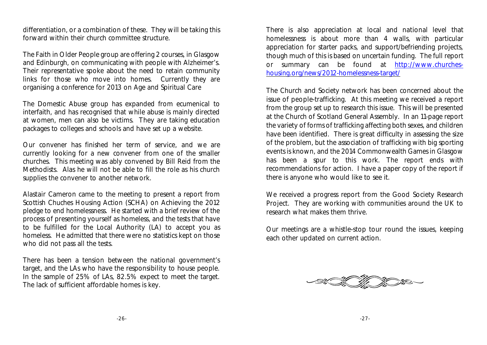differentiation, or a combination of these. They will be taking this forward within their church committee structure.

The Faith in Older People group are offering 2 courses, in Glasgow and Edinburgh, on communicating with people with Alzheimer's. Their representative spoke about the need to retain community links for those who move into homes. Currently they are organising a conference for 2013 on Age and Spiritual Care

The Domestic Abuse group has expanded from ecumenical to interfaith, and has recognised that while abuse is mainly directed at women, men can also be victims. They are taking education packages to colleges and schools and have set up a website.

Our convener has finished her term of service, and we are currently looking for a new convener from one of the smaller churches. This meeting was ably convened by Bill Reid from the Methodists. Alas he will not be able to fill the role as his church supplies the convener to another network.

Alastair Cameron came to the meeting to present a report from Scottish Chuches Housing Action (SCHA) on Achieving the 2012 pledge to end homelessness. He started with a brief review of the process of presenting yourself as homeless, and the tests that have to be fulfilled for the Local Authority (LA) to accept you as homeless. He admitted that there were no statistics kept on those who did not pass all the tests.

There has been a tension between the national government's target, and the LAs who have the responsibility to house people. In the sample of 25% of LAs, 82.5% expect to meet the target. The lack of sufficient affordable homes is key.

There is also appreciation at local and national level that homelessness is about more than 4 walls, with particular appreciation for starter packs, and support/befriending projects, though much of this is based on uncertain funding. The full report or summary can be found at [http://www.churches](http://www.churches-housing.org/news/2012-homelessness-target/)[housing.org/news/2012-homelessness-target/](http://www.churches-housing.org/news/2012-homelessness-target/)

The Church and Society network has been concerned about the issue of people-trafficking. At this meeting we received a report from the group set up to research this issue. This will be presented at the Church of Scotland General Assembly. In an 11-page report the variety of forms of trafficking affecting both sexes, and children have been identified. There is great difficulty in assessing the size of the problem, but the association of trafficking with big sporting events is known, and the 2014 Commonwealth Games in Glasgow has been a spur to this work. The report ends with recommendations for action. I have a paper copy of the report if there is anyone who would like to see it.

We received a progress report from the Good Society Research Project. They are working with communities around the UK to research what makes them thrive.

Our meetings are a whistle-stop tour round the issues, keeping each other updated on current action.

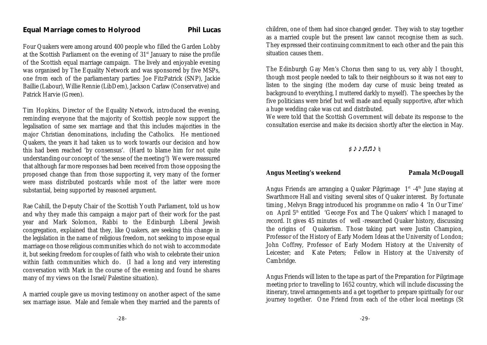Four Quakers were among around 400 people who filled the Garden Lobby at the Scottish Parliament on the evening of  $31^{\rm st}$  January to raise the profile of the Scottish equal marriage campaign. The lively and enjoyable evening was organised by The Equality Network and was sponsored by five MSPs, one from each of the parliamentary parties: Joe FitzPatrick (SNP), Jackie Baillie (Labour), Willie Rennie (LibDem), Jackson Carlaw (Conservative) and Patrick Harvie (Green).

Tim Hopkins, Director of the Equality Network, introduced the evening, reminding everyone that the majority of Scottish people now support the legalisation of same sex marriage and that this includes majorities in the major Christian denominations, including the Catholics. He mentioned Quakers, the years it had taken us to work towards our decision and how this had been reached 'by consensus'. (Hard to blame him for not quite understanding our concept of 'the sense of the meeting'!) We were reassured that although far more responses had been received from those opposing the proposed change than from those supporting it, very many of the former were mass distributed postcards while most of the latter were more substantial, being supported by reasoned argument.

Rae Cahill, the Deputy Chair of the Scottish Youth Parliament, told us how and why they made this campaign a major part of their work for the past year and Mark Solomon, Rabbi to the Edinburgh Liberal Jewish congregation, explained that they, like Quakers, are seeking this change in the legislation in the name of religious freedom, not seeking to impose equal marriage on those religious communities which do not wish to accommodate it, but seeking freedom for couples of faith who wish to celebrate their union within faith communities which do. (I had a long and very interesting conversation with Mark in the course of the evening and found he shares many of my views on the Israel/Palestine situation).

A married couple gave us moving testimony on another aspect of the same sex marriage issue. Male and female when they married and the parents of children, one of them had since changed gender. They wish to stay together as a married couple but the present law cannot recognise them as such. They expressed their continuing commitment to each other and the pain this situation causes them.

The Edinburgh Gay Men's Chorus then sang to us, very ably I thought, though most people needed to talk to their neighbours so it was not easy to listen to the singing (the modern day curse of music being treated as background to everything, I muttered darkly to myself). The speeches by the five politicians were brief but well made and equally supportive, after which a huge wedding cake was cut and distributed.

We were told that the Scottish Government will debate its response to the consultation exercise and make its decision shortly after the election in May.

#### <\*\*++\*>

#### **Angus Meeting's weekend Pamala McDougall**

Angus Friends are arranging a Quaker Pilgrimage  $1<sup>st</sup> - 4<sup>th</sup>$  June staying at Swarthmore Hall and visiting several sites of Quaker interest. By fortunate timing , Melvyn Bragg introduced his programme on radio 4 'In Our Time' on April 5<sup>th</sup> entitled 'George Fox and The Quakers' which I managed to record. It gives 45 minutes of well -researched Quaker history, discussing the origins of Quakerism. Those taking part were Justin Champion, Professor of the History of Early Modern Ideas at the University of London; John Coffrey, Professor of Early Modern History at the University of Leicester; and Kate Peters; Fellow in History at the University of Cambridge.

Angus Friends will listen to the tape as part of the Preparation for Pilgrimage meeting prior to travelling to 1652 country, which will include discussing the itinerary, travel arrangements and a get together to prepare spiritually for our journey together. One Friend from each of the other local meetings (St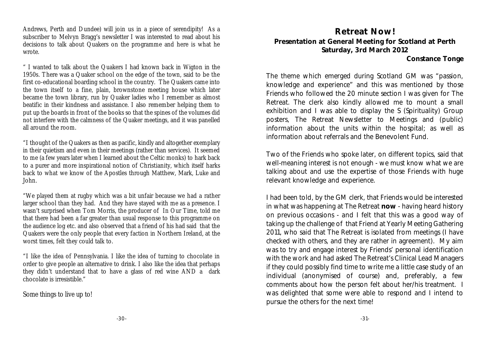Andrews, Perth and Dundee) will join us in a piece of serendipity! As a subscriber to Melvyn Bragg's newsletter I was interested to read about his decisions to talk about Quakers on the programme and here is what he wrote.

" I wanted to talk about the Quakers I had known back in Wigton in the 1950s. There was a Quaker school on the edge of the town, said to be the first co-educational boarding school in the country. The Quakers came into the town itself to a fine, plain, brownstone meeting house which later became the town library, run by Quaker ladies who I remember as almost beatific in their kindness and assistance. I also remember helping them to put up the boards in front of the books so that the spines of the volumes did not interfere with the calmness of the Quaker meetings, and it was panelled all around the room.

"I thought of the Quakers as then as pacific, kindly and altogether exemplary in their quietism and even in their meetings (rather than services). It seemed to me (a few years later when I learned about the Celtic monks) to hark back to a purer and more inspirational notion of Christianity, which itself harks back to what we know of the Apostles through Matthew, Mark, Luke and John.

"We played them at rugby which was a bit unfair because we had a rather larger school than they had. And they have stayed with me as a presence. I wasn't surprised when Tom Morris, the producer of In Our Time, told me that there had been a far greater than usual response to this programme on the audience log etc. and also observed that a friend of his had said that the Quakers were the only people that every faction in Northern Ireland, at the worst times, felt they could talk to.

"I like the idea of Pennsylvania. I like the idea of turning to chocolate in order to give people an alternative to drink. I also like the idea that perhaps they didn't understand that to have a glass of red wine AND a dark chocolate is irresistible."

Some things to live up to!

### **Retreat Now! Presentation at General Meeting for Scotland at Perth Saturday, 3rd March 2012**

**Constance Tonge**

The theme which emerged during Scotland GM was "passion, knowledge and experience" and this was mentioned by those Friends who followed the 20 minute section I was given for The Retreat. The clerk also kindly allowed me to mount a small exhibition and I was able to display the S (Spirituality) Group posters, The Retreat Newsletter to Meetings and (public) information about the units within the hospital; as well as information about referrals and the Benevolent Fund.

Two of the Friends who spoke later, on different topics, said that well-meaning interest is not enough - we must know what we are talking about and use the expertise of those Friends with huge relevant knowledge and experience.

I had been told, by the GM clerk, that Friends would be interested in what was happening at The Retreat **now** - having heard history on previous occasions - and I felt that this was a good way of taking up the challenge of that Friend at Yearly Meeting Gathering 2011, who said that The Retreat is isolated from meetings (I have checked with others, and they are rather in agreement). My aim was to try and engage interest by Friends' personal identification with the work and had asked The Retreat's Clinical Lead Managers if they could possibly find time to write me a little case study of an individual (anonymised of course) and, preferably, a few comments about how the person felt about her/his treatment. I was delighted that some were able to respond and I intend to pursue the others for the next time!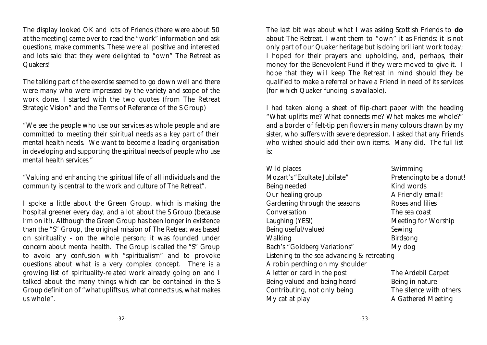The display looked OK and lots of Friends (there were about 50 at the meeting) came over to read the "work" information and ask questions, make comments. These were all positive and interested and lots said that they were delighted to "own" The Retreat as **Quakers!** 

The talking part of the exercise seemed to go down well and there were many who were impressed by the variety and scope of the work done. I started with the two quotes (from The Retreat Strategic Vision" and the Terms of Reference of the S Group)

*"We see the people who use our services as whole people and are committed to meeting their spiritual needs as a key part of their mental health needs. We want to become a leading organisation in developing and supporting the spiritual needs of people who use mental health services."*

*"Valuing and enhancing the spiritual life of all individuals and the community is central to the work and culture of The Retreat".*

I spoke a little about the Green Group, which is making the hospital greener every day, and a lot about the S Group (because I'm on it!). Although the Green Group has been longer in existence than the "S" Group, the original mission of The Retreat was based on spirituality - on the whole person; it was founded under concern about mental health. The Group is called the "S" Group to avoid any confusion with "spiritualism" and to provoke questions about what is a very complex concept. There is a growing list of spirituality-related work already going on and I talked about the many things which can be contained in the S Group definition of "what uplifts us, what connects us, what makes us whole".

The last bit was about what I was asking Scottish Friends to **do** about The Retreat. I want them to "own" it as Friends; it is not only part of our Quaker heritage but is doing brilliant work today; I hoped for their prayers and upholding, and, perhaps, their money for the Benevolent Fund if they were moved to give it. I hope that they will keep The Retreat in mind should they be qualified to make a referral or have a Friend in need of its services (for which Quaker funding is available).

I had taken along a sheet of flip-chart paper with the heading "What uplifts me? What connects me? What makes me whole?" and a border of felt-tip pen flowers in many colours drawn by my sister, who suffers with severe depression. I asked that any Friends who wished should add their own items. Many did. The full list is:

Wild places Swimming Mozart's "Exultate Jubilate" Pretending to be a donut! Being needed Kind words Our healing group and a set of the A Friendly email! Gardening through the seasons Roses and lilies Conversation The sea coast Laughing (YES!) Meeting for Worship Being useful/valued Sewing Walking **Birdsong** Bach's "Goldberg Variations" My dog Listening to the sea advancing & retreating A robin perching on my shoulder A letter or card in the post The Ardebil Carpet Being valued and being heard Being in nature Contributing, not only being The silence with others My cat at play A Gathered Meeting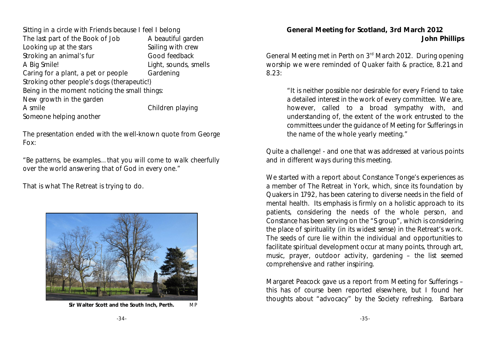Sitting in a circle with Friends because I feel I belong The last part of the Book of Job A beautiful garden Looking up at the stars Sailing with crew Stroking an animal's fur<br>
Good feedback A Big Smile! Light, sounds, smells Caring for a plant, a pet or people Gardening Stroking other people's dogs (therapeutic!) Being in the moment noticing the small things: New growth in the garden A smile Children playing Someone helping another

The presentation ended with the well-known quote from George Fox:

*"Be patterns, be examples…that you will come to walk cheerfully over the world answering that of God in every one."*

That is what The Retreat is trying to do.



**Sir Walter Scott and the South Inch, Perth.** MP

**General Meeting for Scotland, 3rd March 2012 John Phillips**

General Meeting met in Perth on 3<sup>rd</sup> March 2012. During opening worship we were reminded of *Quaker faith & practice*, 8.21 and 8.23:

"It is neither possible nor desirable for every Friend to take a detailed interest in the work of every committee. We are, however, called to a broad sympathy with, and understanding of, the extent of the work entrusted to the committees under the guidance of Meeting for Sufferings in the name of the whole yearly meeting."

Quite a challenge! - and one that was addressed at various points and in different ways during this meeting.

We started with a report about Constance Tonge's experiences as a member of The Retreat in York, which, since its foundation by Quakers in 1792, has been catering to diverse needs in the field of mental health. Its emphasis is firmly on a holistic approach to its patients, considering the needs of the whole person, and Constance has been serving on the "S group", which is considering the place of spirituality (in its widest sense) in the Retreat's work. The seeds of cure lie within the individual and opportunities to facilitate spiritual development occur at many points, through art, music, prayer, outdoor activity, gardening – the list seemed comprehensive and rather inspiring.

Margaret Peacock gave us a report from Meeting for Sufferings – this has of course been reported elsewhere, but I found her thoughts about "advocacy" by the Society refreshing. Barbara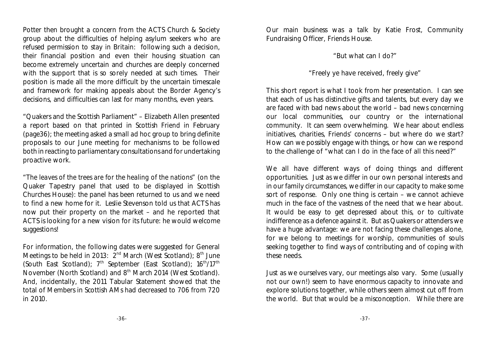Potter then brought a concern from the ACTS Church & Society group about the difficulties of helping asylum seekers who are refused permission to stay in Britain: following such a decision, their financial position and even their housing situation can become extremely uncertain and churches are deeply concerned with the support that is so sorely needed at such times. Their position is made all the more difficult by the uncertain timescale and framework for making appeals about the Border Agency's decisions, and difficulties can last for many months, even years.

"Quakers and the Scottish Parliament" – Elizabeth Allen presented a report based on that printed in *Scottish Friend* in February (page36); the meeting asked a small *ad hoc* group to bring definite proposals to our June meeting for mechanisms to be followed both in reacting to parliamentary consultations and for undertaking proactive work.

"*The leaves of the trees are for the healing of the nations*" (on the Quaker Tapestry panel that used to be displayed in Scottish Churches House): the panel has been returned to us and we need to find a new home for it. Leslie Stevenson told us that ACTS has now put their property on the market – and he reported that ACTS is looking for a new vision for its future: he would welcome suggestions!

For information, the following dates were suggested for General Meetings to be held in 2013:  $2^{nd}$  March (West Scotland);  $8^{th}$  June (South East Scotland);  $7<sup>th</sup>$  September (East Scotland);  $16<sup>th</sup>/17<sup>th</sup>$ November (North Scotland) and 8<sup>th</sup> March 2014 (West Scotland). And, incidentally, the 2011 Tabular Statement showed that the total of Members in Scottish AMs had decreased to 706 from 720 in 2010.

Our main business was a talk by Katie Frost, Community Fundraising Officer, Friends House.

"But what can *I* do?"

#### "Freely ye have received, freely give"

This short report is what I took from her presentation. I can see that each of us has distinctive gifts and talents, but every day we are faced with bad news about the world – bad news concerning our local communities, our country or the international community. It can seem overwhelming. We hear about endless initiatives, charities, Friends' concerns – but where do we start? How can we possibly engage with things, or how can we respond to the challenge of "what can *I* do in the face of all this need?"

We all have different ways of doing things and different opportunities. Just as we differ in our own personal interests and in our family circumstances, we differ in our capacity to make some sort of response. Only one thing is certain – we cannot achieve much in the face of the vastness of the need that we hear about. It would be easy to get depressed about this, or to cultivate indifference as a defence against it. But as Quakers or attenders we have a huge advantage: we are not facing these challenges alone, for we belong to meetings for worship, communities of souls seeking together to find ways of contributing and of coping with these needs.

Just as we ourselves vary, our meetings also vary. Some (usually not our own!) seem to have enormous capacity to innovate and explore solutions together, while others seem almost cut off from the world. But that would be a misconception. While there are